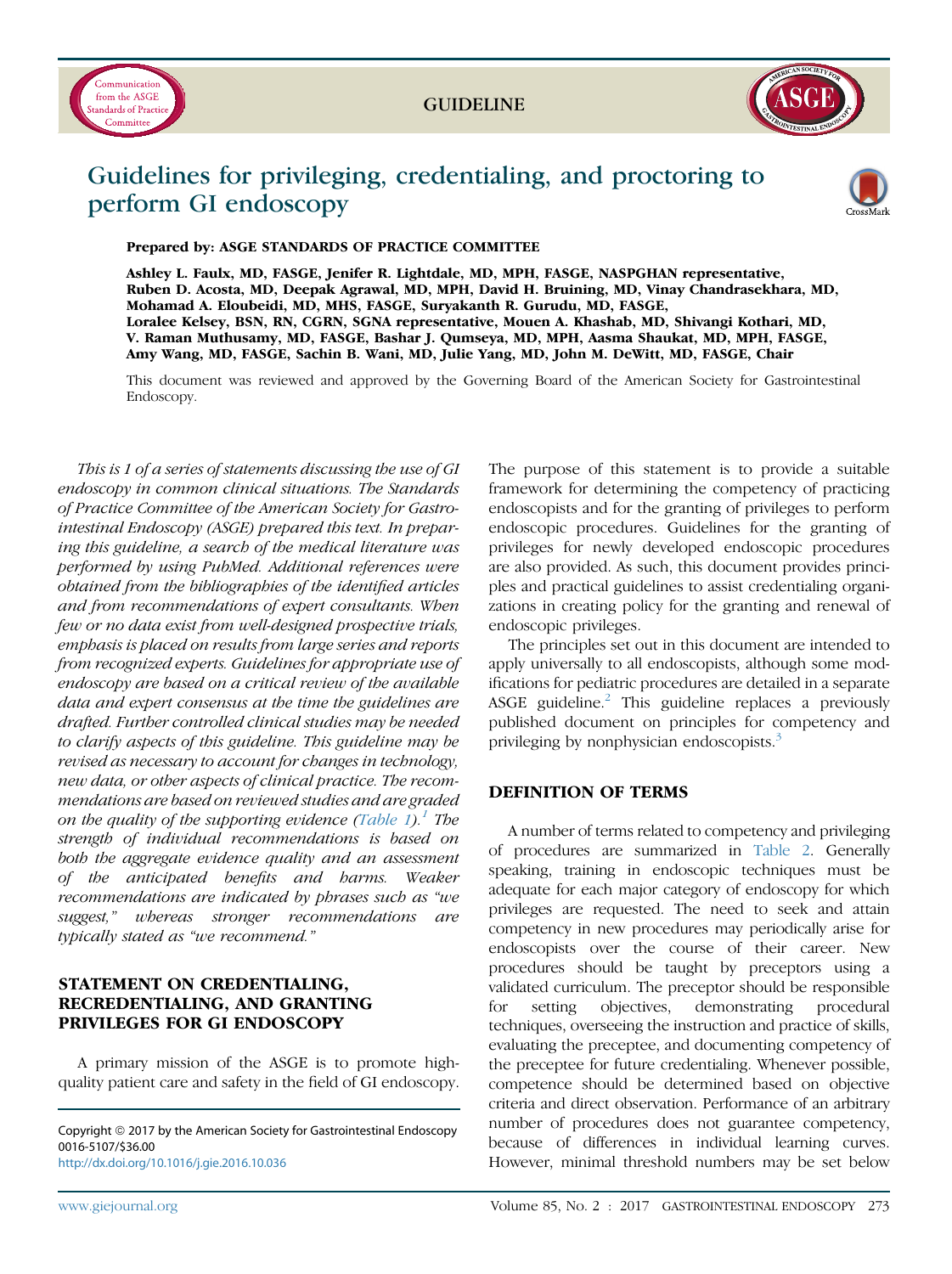



# Guidelines for privileging, credentialing, and proctoring to perform GI endoscopy



Prepared by: ASGE STANDARDS OF PRACTICE COMMITTEE

Ashley L. Faulx, MD, FASGE, Jenifer R. Lightdale, MD, MPH, FASGE, NASPGHAN representative, Ruben D. Acosta, MD, Deepak Agrawal, MD, MPH, David H. Bruining, MD, Vinay Chandrasekhara, MD, Mohamad A. Eloubeidi, MD, MHS, FASGE, Suryakanth R. Gurudu, MD, FASGE, Loralee Kelsey, BSN, RN, CGRN, SGNA representative, Mouen A. Khashab, MD, Shivangi Kothari, MD, V. Raman Muthusamy, MD, FASGE, Bashar J. Qumseya, MD, MPH, Aasma Shaukat, MD, MPH, FASGE, Amy Wang, MD, FASGE, Sachin B. Wani, MD, Julie Yang, MD, John M. DeWitt, MD, FASGE, Chair

This document was reviewed and approved by the Governing Board of the American Society for Gastrointestinal Endoscopy.

This is 1 of a series of statements discussing the use of GI endoscopy in common clinical situations. The Standards of Practice Committee of the American Society for Gastrointestinal Endoscopy (ASGE) prepared this text. In preparing this guideline, a search of the medical literature was performed by using PubMed. Additional references were obtained from the bibliographies of the identified articles and from recommendations of expert consultants. When few or no data exist from well-designed prospective trials, emphasis is placed on results from large series and reports from recognized experts. Guidelines for appropriate use of endoscopy are based on a critical review of the available data and expert consensus at the time the guidelines are drafted. Further controlled clinical studies may be needed to clarify aspects of this guideline. This guideline may be revised as necessary to account for changes in technology, new data, or other aspects of clinical practice. The recommendations are based on reviewed studies and are graded on the quality of the supporting evidence ([Table 1](#page-1-0)).<sup>[1](#page-7-0)</sup> The strength of individual recommendations is based on both the aggregate evidence quality and an assessment of the anticipated benefits and harms. Weaker recommendations are indicated by phrases such as "we suggest," whereas stronger recommendations are typically stated as "we recommend."

# STATEMENT ON CREDENTIALING, RECREDENTIALING, AND GRANTING PRIVILEGES FOR GI ENDOSCOPY

A primary mission of the ASGE is to promote highquality patient care and safety in the field of GI endoscopy.

Copyright © 2017 by the American Society for Gastrointestinal Endoscopy 0016-5107/\$36.00 <http://dx.doi.org/10.1016/j.gie.2016.10.036>

The purpose of this statement is to provide a suitable framework for determining the competency of practicing endoscopists and for the granting of privileges to perform endoscopic procedures. Guidelines for the granting of privileges for newly developed endoscopic procedures are also provided. As such, this document provides principles and practical guidelines to assist credentialing organizations in creating policy for the granting and renewal of endoscopic privileges.

The principles set out in this document are intended to apply universally to all endoscopists, although some modifications for pediatric procedures are detailed in a separate ASGE guideline.<sup>[2](#page-7-0)</sup> This guideline replaces a previously published document on principles for competency and privileging by nonphysician endoscopists.<sup>[3](#page-7-0)</sup>

# DEFINITION OF TERMS

A number of terms related to competency and privileging of procedures are summarized in [Table 2.](#page-1-0) Generally speaking, training in endoscopic techniques must be adequate for each major category of endoscopy for which privileges are requested. The need to seek and attain competency in new procedures may periodically arise for endoscopists over the course of their career. New procedures should be taught by preceptors using a validated curriculum. The preceptor should be responsible for setting objectives, demonstrating procedural techniques, overseeing the instruction and practice of skills, evaluating the preceptee, and documenting competency of the preceptee for future credentialing. Whenever possible, competence should be determined based on objective criteria and direct observation. Performance of an arbitrary number of procedures does not guarantee competency, because of differences in individual learning curves. However, minimal threshold numbers may be set below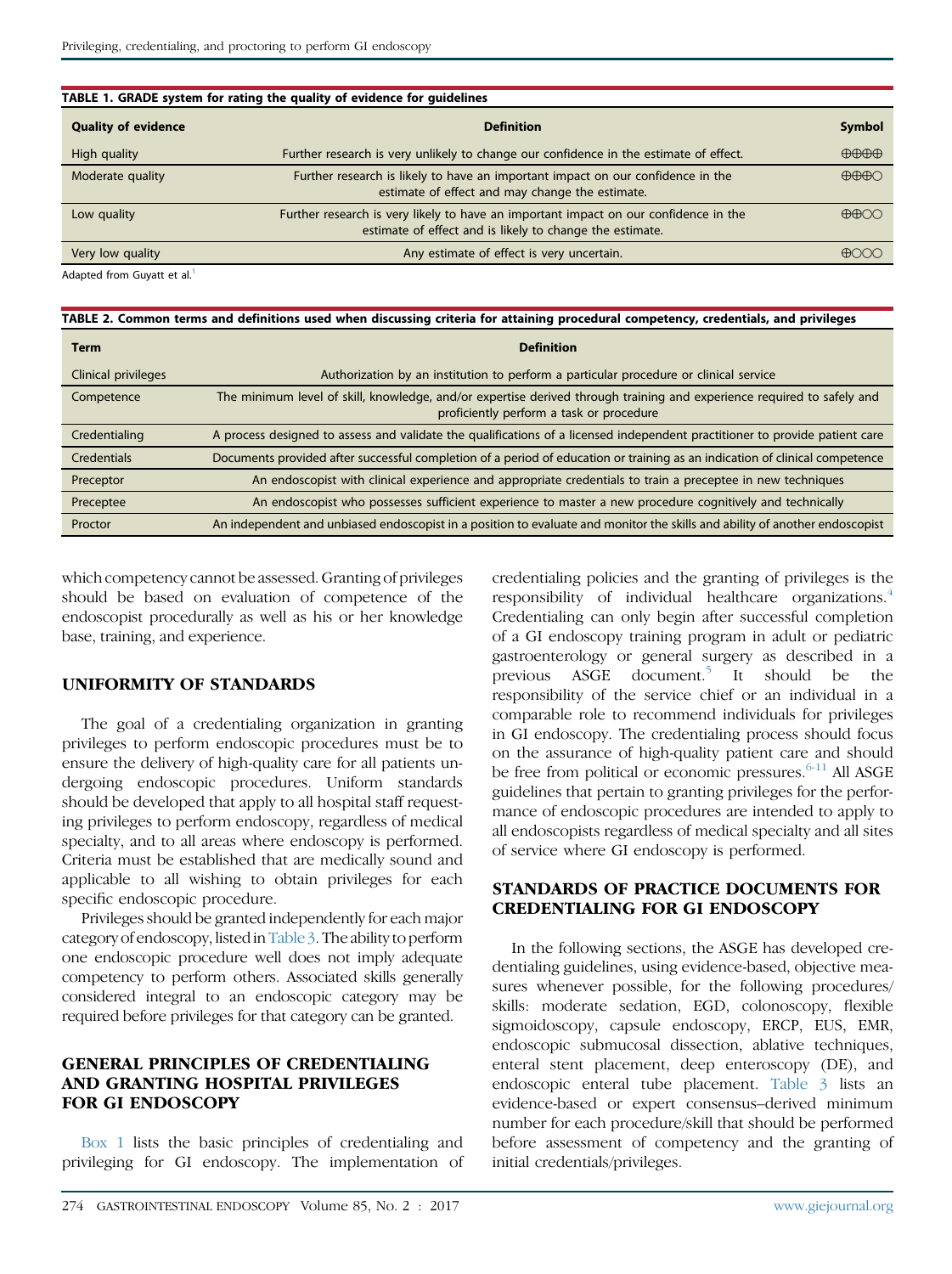<span id="page-1-0"></span>

| TABLE 1. GRADE system for rating the quality of evidence for guidelines |                                                                                                                                                  |                               |  |  |
|-------------------------------------------------------------------------|--------------------------------------------------------------------------------------------------------------------------------------------------|-------------------------------|--|--|
| <b>Quality of evidence</b>                                              | <b>Definition</b>                                                                                                                                | <b>Symbol</b>                 |  |  |
| High quality                                                            | Further research is very unlikely to change our confidence in the estimate of effect.                                                            | $\bigoplus\bigoplus\bigoplus$ |  |  |
| Moderate quality                                                        | Further research is likely to have an important impact on our confidence in the<br>estimate of effect and may change the estimate.               | $\bigoplus\bigoplus\bigodot$  |  |  |
| Low quality                                                             | Further research is very likely to have an important impact on our confidence in the<br>estimate of effect and is likely to change the estimate. | $\bigoplus\bigoplus$          |  |  |
| Very low quality                                                        | Any estimate of effect is very uncertain.                                                                                                        | ക്കററ                         |  |  |

Adapted from Guyatt et al.<sup>[1](#page-7-0)</sup>

TABLE 2. Common terms and definitions used when discussing criteria for attaining procedural competency, credentials, and privileges

| <b>Term</b>         | <b>Definition</b>                                                                                                                                                  |
|---------------------|--------------------------------------------------------------------------------------------------------------------------------------------------------------------|
| Clinical privileges | Authorization by an institution to perform a particular procedure or clinical service                                                                              |
| Competence          | The minimum level of skill, knowledge, and/or expertise derived through training and experience required to safely and<br>proficiently perform a task or procedure |
| Credentialing       | A process designed to assess and validate the qualifications of a licensed independent practitioner to provide patient care                                        |
| Credentials         | Documents provided after successful completion of a period of education or training as an indication of clinical competence                                        |
| Preceptor           | An endoscopist with clinical experience and appropriate credentials to train a preceptee in new techniques                                                         |
| Preceptee           | An endoscopist who possesses sufficient experience to master a new procedure cognitively and technically                                                           |
| Proctor             | An independent and unbiased endoscopist in a position to evaluate and monitor the skills and ability of another endoscopist                                        |

which competency cannot be assessed. Granting of privileges should be based on evaluation of competence of the endoscopist procedurally as well as his or her knowledge base, training, and experience.

# UNIFORMITY OF STANDARDS

The goal of a credentialing organization in granting privileges to perform endoscopic procedures must be to ensure the delivery of high-quality care for all patients undergoing endoscopic procedures. Uniform standards should be developed that apply to all hospital staff requesting privileges to perform endoscopy, regardless of medical specialty, and to all areas where endoscopy is performed. Criteria must be established that are medically sound and applicable to all wishing to obtain privileges for each specific endoscopic procedure.

Privileges should be granted independently for each major category of endoscopy, listed in [Table 3.](#page-2-0) The ability to perform one endoscopic procedure well does not imply adequate competency to perform others. Associated skills generally considered integral to an endoscopic category may be required before privileges for that category can be granted.

# GENERAL PRINCIPLES OF CREDENTIALING AND GRANTING HOSPITAL PRIVILEGES FOR GI ENDOSCOPY

Box 1 lists the basic principles of credentialing and privileging for GI endoscopy. The implementation of credentialing policies and the granting of privileges is the responsibility of individual healthcare organizations.<sup>4</sup> Credentialing can only begin after successful completion of a GI endoscopy training program in adult or pediatric gastroenterology or general surgery as described in a previous ASGE document.<sup>[5](#page-7-0)</sup> It should be the responsibility of the service chief or an individual in a comparable role to recommend individuals for privileges in GI endoscopy. The credentialing process should focus on the assurance of high-quality patient care and should be free from political or economic pressures.<sup>[6-11](#page-7-0)</sup> All ASGE guidelines that pertain to granting privileges for the performance of endoscopic procedures are intended to apply to all endoscopists regardless of medical specialty and all sites of service where GI endoscopy is performed.

#### STANDARDS OF PRACTICE DOCUMENTS FOR CREDENTIALING FOR GI ENDOSCOPY

In the following sections, the ASGE has developed credentialing guidelines, using evidence-based, objective measures whenever possible, for the following procedures/ skills: moderate sedation, EGD, colonoscopy, flexible sigmoidoscopy, capsule endoscopy, ERCP, EUS, EMR, endoscopic submucosal dissection, ablative techniques, enteral stent placement, deep enteroscopy (DE), and endoscopic enteral tube placement. [Table 3](#page-2-0) lists an evidence-based or expert consensus–derived minimum number for each procedure/skill that should be performed before assessment of competency and the granting of initial credentials/privileges.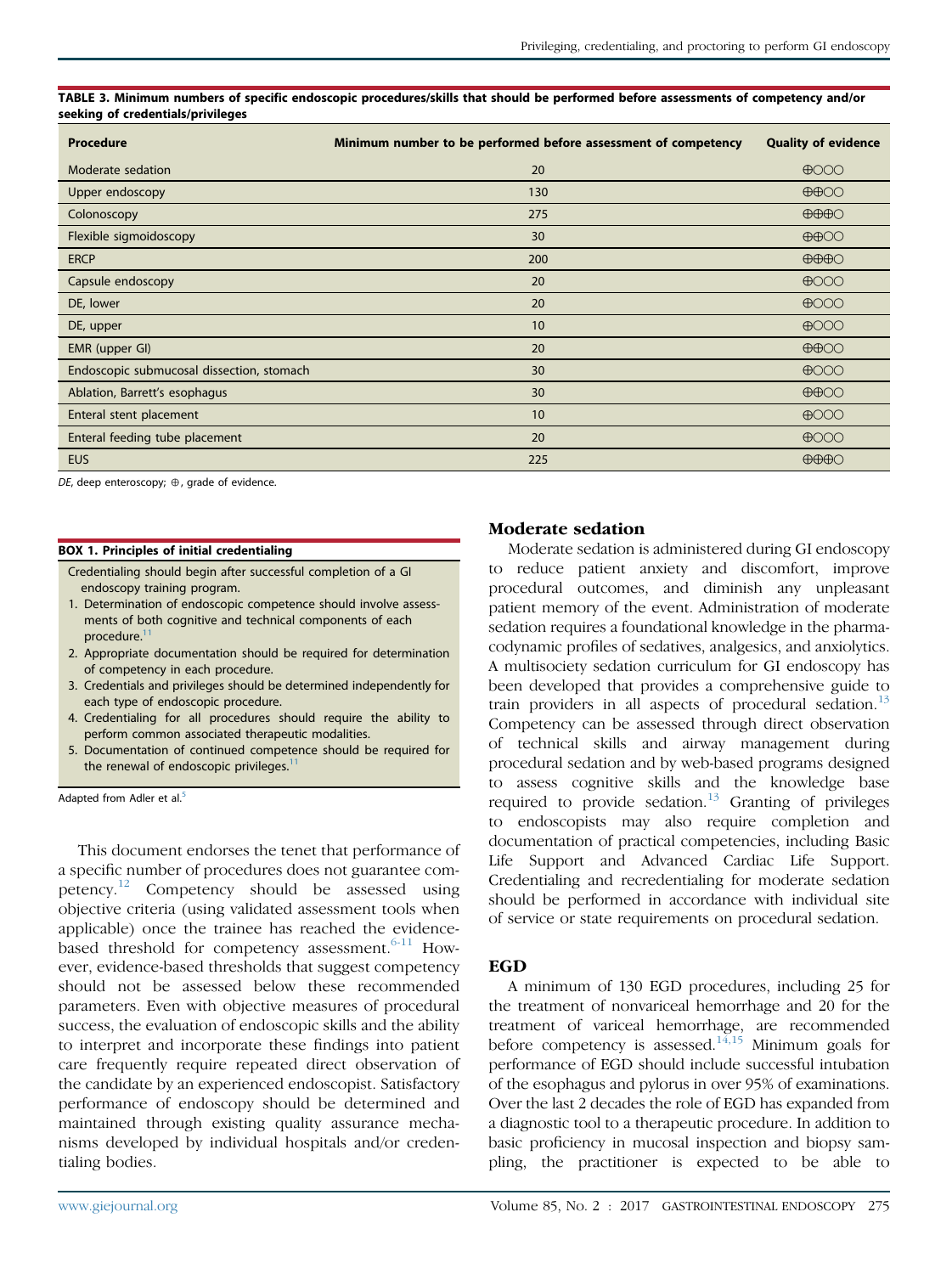<span id="page-2-0"></span>TABLE 3. Minimum numbers of specific endoscopic procedures/skills that should be performed before assessments of competency and/or seeking of credentials/privileges

| Procedure                                 | Minimum number to be performed before assessment of competency | <b>Quality of evidence</b>   |
|-------------------------------------------|----------------------------------------------------------------|------------------------------|
| Moderate sedation                         | 20                                                             | $\bigoplus$ OOO              |
| Upper endoscopy                           | 130                                                            | $\bigoplus$ OO               |
| Colonoscopy                               | 275                                                            | $\bigoplus\bigoplus\bigodot$ |
| Flexible sigmoidoscopy                    | 30                                                             | $\bigoplus$                  |
| <b>ERCP</b>                               | 200                                                            | $\bigoplus\bigoplus\bigodot$ |
| Capsule endoscopy                         | 20                                                             | $\bigoplus$ OOO              |
| DE, lower                                 | 20                                                             | $\bigoplus$ OOO              |
| DE, upper                                 | 10                                                             | $\bigoplus$ OOO              |
| EMR (upper GI)                            | 20                                                             | $\bigoplus$ OO               |
| Endoscopic submucosal dissection, stomach | 30                                                             | $\bigoplus$ OOO              |
| Ablation, Barrett's esophagus             | 30                                                             | $\bigoplus$ OO               |
| Enteral stent placement                   | 10                                                             | $\bigoplus$ OOO              |
| Enteral feeding tube placement            | 20                                                             | $\bigoplus$ OOO              |
| <b>EUS</b>                                | 225                                                            | $\bigoplus\bigoplus\bigodot$ |

DE, deep enteroscopy;  $\oplus$ , grade of evidence.

#### BOX 1. Principles of initial credentialing

Credentialing should begin after successful completion of a GI endoscopy training program.

- 1. Determination of endoscopic competence should involve assessments of both cognitive and technical components of each procedure.<sup>1</sup>
- 2. Appropriate documentation should be required for determination of competency in each procedure.
- 3. Credentials and privileges should be determined independently for each type of endoscopic procedure.
- 4. Credentialing for all procedures should require the ability to perform common associated therapeutic modalities.
- 5. Documentation of continued competence should be required for the renewal of endoscopic privileges.<sup>1</sup>

Adapted from Adler et al.<sup>[5](#page-7-0)</sup>

This document endorses the tenet that performance of a specific number of procedures does not guarantee competency.[12](#page-7-0) Competency should be assessed using objective criteria (using validated assessment tools when applicable) once the trainee has reached the evidencebased threshold for competency assessment. $6-11$  However, evidence-based thresholds that suggest competency should not be assessed below these recommended parameters. Even with objective measures of procedural success, the evaluation of endoscopic skills and the ability to interpret and incorporate these findings into patient care frequently require repeated direct observation of the candidate by an experienced endoscopist. Satisfactory performance of endoscopy should be determined and maintained through existing quality assurance mechanisms developed by individual hospitals and/or credentialing bodies.

#### Moderate sedation

Moderate sedation is administered during GI endoscopy to reduce patient anxiety and discomfort, improve procedural outcomes, and diminish any unpleasant patient memory of the event. Administration of moderate sedation requires a foundational knowledge in the pharmacodynamic profiles of sedatives, analgesics, and anxiolytics. A multisociety sedation curriculum for GI endoscopy has been developed that provides a comprehensive guide to train providers in all aspects of procedural sedation.<sup>[13](#page-7-0)</sup> Competency can be assessed through direct observation of technical skills and airway management during procedural sedation and by web-based programs designed to assess cognitive skills and the knowledge base required to provide sedation.<sup>[13](#page-7-0)</sup> Granting of privileges to endoscopists may also require completion and documentation of practical competencies, including Basic Life Support and Advanced Cardiac Life Support. Credentialing and recredentialing for moderate sedation should be performed in accordance with individual site of service or state requirements on procedural sedation.

#### **EGD**

A minimum of 130 EGD procedures, including 25 for the treatment of nonvariceal hemorrhage and 20 for the treatment of variceal hemorrhage, are recommended before competency is assessed.<sup>[14,15](#page-7-0)</sup> Minimum goals for performance of EGD should include successful intubation of the esophagus and pylorus in over 95% of examinations. Over the last 2 decades the role of EGD has expanded from a diagnostic tool to a therapeutic procedure. In addition to basic proficiency in mucosal inspection and biopsy sampling, the practitioner is expected to be able to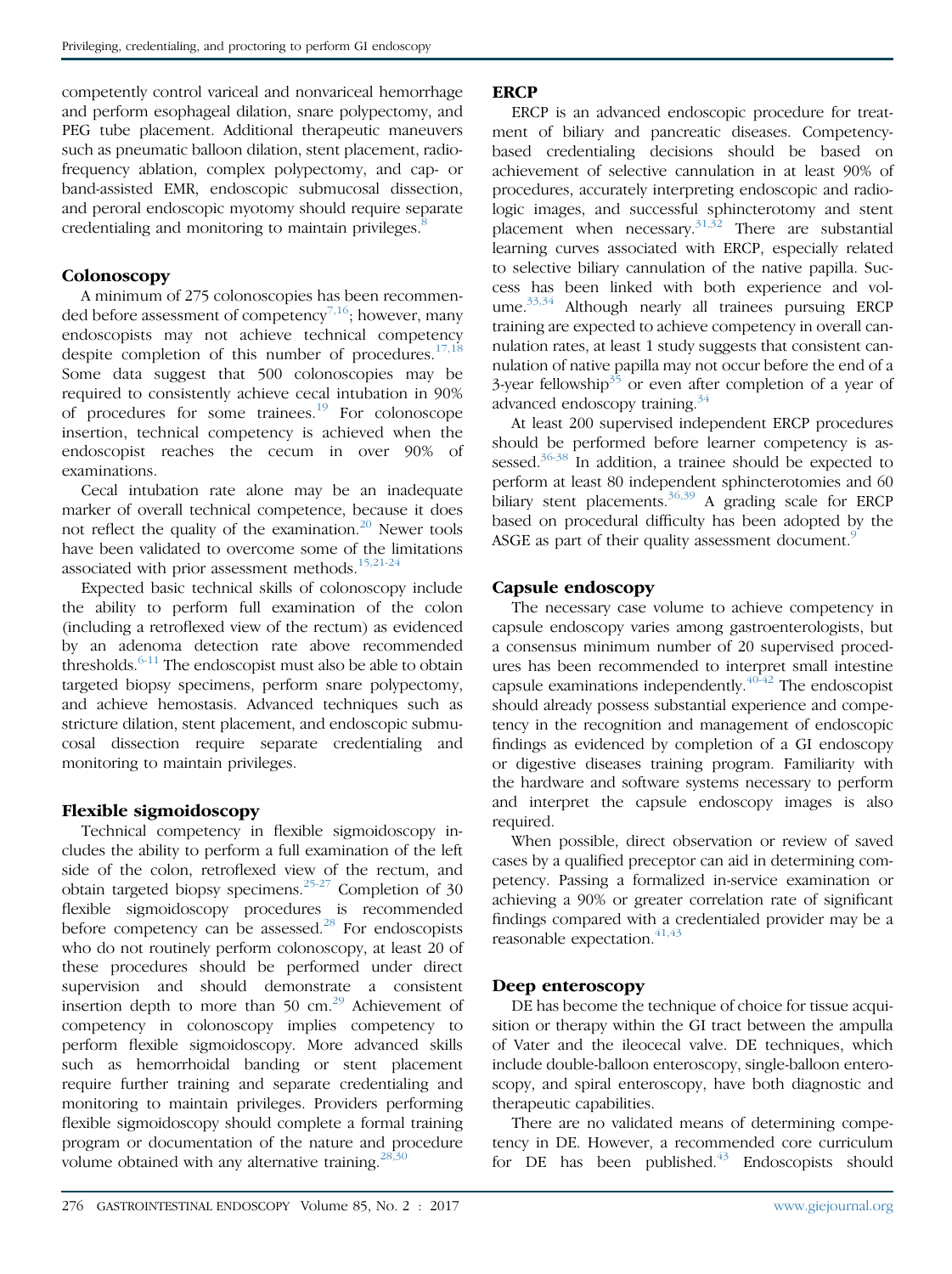competently control variceal and nonvariceal hemorrhage and perform esophageal dilation, snare polypectomy, and PEG tube placement. Additional therapeutic maneuvers such as pneumatic balloon dilation, stent placement, radiofrequency ablation, complex polypectomy, and cap- or band-assisted EMR, endoscopic submucosal dissection, and peroral endoscopic myotomy should require separate credentialing and monitoring to maintain privileges. $\frac{8}{3}$  $\frac{8}{3}$  $\frac{8}{3}$ 

# **Colonoscopy**

A minimum of 275 colonoscopies has been recommen-ded before assessment of competency<sup>[7,16](#page-7-0)</sup>; however, many endoscopists may not achieve technical competency despite completion of this number of procedures. $17,18$ Some data suggest that 500 colonoscopies may be required to consistently achieve cecal intubation in 90% of procedures for some trainees.<sup>[19](#page-8-0)</sup> For colonoscope insertion, technical competency is achieved when the endoscopist reaches the cecum in over 90% of examinations.

Cecal intubation rate alone may be an inadequate marker of overall technical competence, because it does not reflect the quality of the examination.<sup>[20](#page-8-0)</sup> Newer tools have been validated to overcome some of the limitations associated with prior assessment methods.<sup>[15,21-24](#page-7-0)</sup>

Expected basic technical skills of colonoscopy include the ability to perform full examination of the colon (including a retroflexed view of the rectum) as evidenced by an adenoma detection rate above recommended thresholds. $6-11$  The endoscopist must also be able to obtain targeted biopsy specimens, perform snare polypectomy, and achieve hemostasis. Advanced techniques such as stricture dilation, stent placement, and endoscopic submucosal dissection require separate credentialing and monitoring to maintain privileges.

# Flexible sigmoidoscopy

Technical competency in flexible sigmoidoscopy includes the ability to perform a full examination of the left side of the colon, retroflexed view of the rectum, and obtain targeted biopsy specimens.<sup>[25-27](#page-8-0)</sup> Completion of 30 flexible sigmoidoscopy procedures is recommended before competency can be assessed.<sup>[28](#page-8-0)</sup> For endoscopists who do not routinely perform colonoscopy, at least 20 of these procedures should be performed under direct supervision and should demonstrate a consistent insertion depth to more than 50  $\text{cm}^{29}$  $\text{cm}^{29}$  $\text{cm}^{29}$  Achievement of competency in colonoscopy implies competency to perform flexible sigmoidoscopy. More advanced skills such as hemorrhoidal banding or stent placement require further training and separate credentialing and monitoring to maintain privileges. Providers performing flexible sigmoidoscopy should complete a formal training program or documentation of the nature and procedure volume obtained with any alternative training. $^{28,30}$  $^{28,30}$  $^{28,30}$ 

# **ERCP**

ERCP is an advanced endoscopic procedure for treatment of biliary and pancreatic diseases. Competencybased credentialing decisions should be based on achievement of selective cannulation in at least 90% of procedures, accurately interpreting endoscopic and radiologic images, and successful sphincterotomy and stent placement when necessary. $31,32$  There are substantial learning curves associated with ERCP, especially related to selective biliary cannulation of the native papilla. Success has been linked with both experience and vol-ume.<sup>[33,34](#page-8-0)</sup> Although nearly all trainees pursuing ERCP training are expected to achieve competency in overall cannulation rates, at least 1 study suggests that consistent cannulation of native papilla may not occur before the end of a 3-year fellowship<sup>[35](#page-8-0)</sup> or even after completion of a year of advanced endoscopy training.<sup>[34](#page-8-0)</sup>

At least 200 supervised independent ERCP procedures should be performed before learner competency is as-sessed.<sup>[36-38](#page-8-0)</sup> In addition, a trainee should be expected to perform at least 80 independent sphincterotomies and 60 biliary stent placements.<sup>[36,39](#page-8-0)</sup> A grading scale for ERCP based on procedural difficulty has been adopted by the ASGE as part of their quality assessment document.<sup>[9](#page-7-0)</sup>

# Capsule endoscopy

The necessary case volume to achieve competency in capsule endoscopy varies among gastroenterologists, but a consensus minimum number of 20 supervised procedures has been recommended to interpret small intestine capsule examinations independently. $40-42$  The endoscopist should already possess substantial experience and competency in the recognition and management of endoscopic findings as evidenced by completion of a GI endoscopy or digestive diseases training program. Familiarity with the hardware and software systems necessary to perform and interpret the capsule endoscopy images is also required.

When possible, direct observation or review of saved cases by a qualified preceptor can aid in determining competency. Passing a formalized in-service examination or achieving a 90% or greater correlation rate of significant findings compared with a credentialed provider may be a reasonable expectation.<sup>[41,43](#page-8-0)</sup>

# Deep enteroscopy

DE has become the technique of choice for tissue acquisition or therapy within the GI tract between the ampulla of Vater and the ileocecal valve. DE techniques, which include double-balloon enteroscopy, single-balloon enteroscopy, and spiral enteroscopy, have both diagnostic and therapeutic capabilities.

There are no validated means of determining competency in DE. However, a recommended core curriculum for  $DE$  has been published.<sup>[43](#page-8-0)</sup> Endoscopists should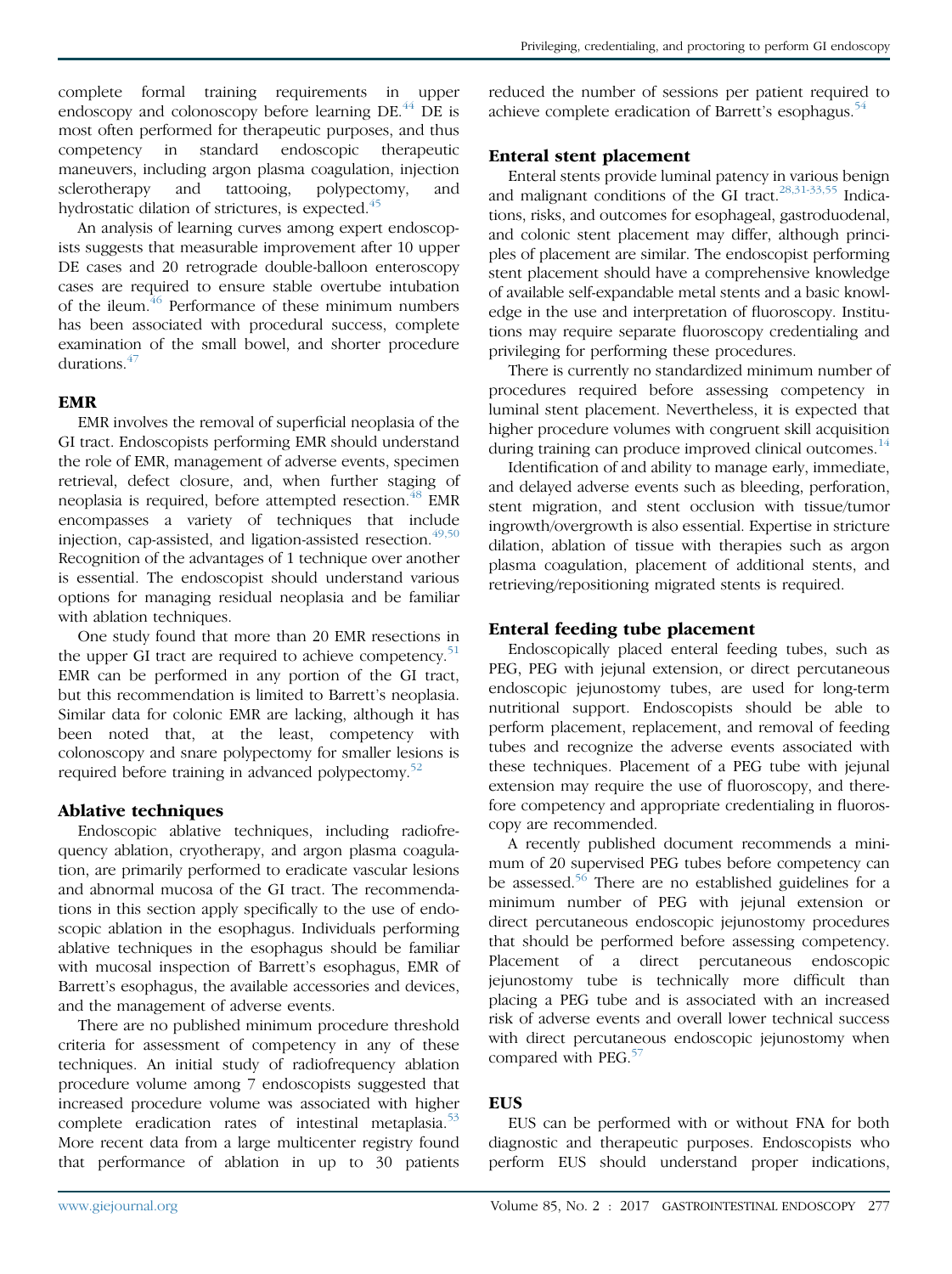An analysis of learning curves among expert endoscopists suggests that measurable improvement after 10 upper DE cases and 20 retrograde double-balloon enteroscopy cases are required to ensure stable overtube intubation of the ileum.<sup>46</sup> Performance of these minimum numbers has been associated with procedural success, complete examination of the small bowel, and shorter procedure durations.[47](#page-8-0)

# EMR

EMR involves the removal of superficial neoplasia of the GI tract. Endoscopists performing EMR should understand the role of EMR, management of adverse events, specimen retrieval, defect closure, and, when further staging of neoplasia is required, before attempted resection.<sup>[48](#page-8-0)</sup> EMR encompasses a variety of techniques that include injection, cap-assisted, and ligation-assisted resection. $49,50$ Recognition of the advantages of 1 technique over another is essential. The endoscopist should understand various options for managing residual neoplasia and be familiar with ablation techniques.

One study found that more than 20 EMR resections in the upper GI tract are required to achieve competency.<sup>[51](#page-8-0)</sup> EMR can be performed in any portion of the GI tract, but this recommendation is limited to Barrett's neoplasia. Similar data for colonic EMR are lacking, although it has been noted that, at the least, competency with colonoscopy and snare polypectomy for smaller lesions is required before training in advanced polypectomy.<sup>[52](#page-8-0)</sup>

# Ablative techniques

Endoscopic ablative techniques, including radiofrequency ablation, cryotherapy, and argon plasma coagulation, are primarily performed to eradicate vascular lesions and abnormal mucosa of the GI tract. The recommendations in this section apply specifically to the use of endoscopic ablation in the esophagus. Individuals performing ablative techniques in the esophagus should be familiar with mucosal inspection of Barrett's esophagus, EMR of Barrett's esophagus, the available accessories and devices, and the management of adverse events.

There are no published minimum procedure threshold criteria for assessment of competency in any of these techniques. An initial study of radiofrequency ablation procedure volume among 7 endoscopists suggested that increased procedure volume was associated with higher complete eradication rates of intestinal metaplasia.<sup>[53](#page-8-0)</sup> More recent data from a large multicenter registry found that performance of ablation in up to 30 patients Privileging, credentialing, and proctoring to perform GI endoscopy

reduced the number of sessions per patient required to achieve complete eradication of Barrett's esophagus.<sup>[54](#page-8-0)</sup>

# Enteral stent placement

Enteral stents provide luminal patency in various benign and malignant conditions of the GI tract.<sup>[28,31-33,55](#page-8-0)</sup> Indications, risks, and outcomes for esophageal, gastroduodenal, and colonic stent placement may differ, although principles of placement are similar. The endoscopist performing stent placement should have a comprehensive knowledge of available self-expandable metal stents and a basic knowledge in the use and interpretation of fluoroscopy. Institutions may require separate fluoroscopy credentialing and privileging for performing these procedures.

There is currently no standardized minimum number of procedures required before assessing competency in luminal stent placement. Nevertheless, it is expected that higher procedure volumes with congruent skill acquisition during training can produce improved clinical outcomes.<sup>[14](#page-7-0)</sup>

Identification of and ability to manage early, immediate, and delayed adverse events such as bleeding, perforation, stent migration, and stent occlusion with tissue/tumor ingrowth/overgrowth is also essential. Expertise in stricture dilation, ablation of tissue with therapies such as argon plasma coagulation, placement of additional stents, and retrieving/repositioning migrated stents is required.

# Enteral feeding tube placement

Endoscopically placed enteral feeding tubes, such as PEG, PEG with jejunal extension, or direct percutaneous endoscopic jejunostomy tubes, are used for long-term nutritional support. Endoscopists should be able to perform placement, replacement, and removal of feeding tubes and recognize the adverse events associated with these techniques. Placement of a PEG tube with jejunal extension may require the use of fluoroscopy, and therefore competency and appropriate credentialing in fluoroscopy are recommended.

A recently published document recommends a minimum of 20 supervised PEG tubes before competency can be assessed.<sup>[56](#page-8-0)</sup> There are no established guidelines for a minimum number of PEG with jejunal extension or direct percutaneous endoscopic jejunostomy procedures that should be performed before assessing competency. Placement of a direct percutaneous endoscopic jejunostomy tube is technically more difficult than placing a PEG tube and is associated with an increased risk of adverse events and overall lower technical success with direct percutaneous endoscopic jejunostomy when compared with PEG.<sup>[57](#page-8-0)</sup>

# **EUS**

EUS can be performed with or without FNA for both diagnostic and therapeutic purposes. Endoscopists who perform EUS should understand proper indications,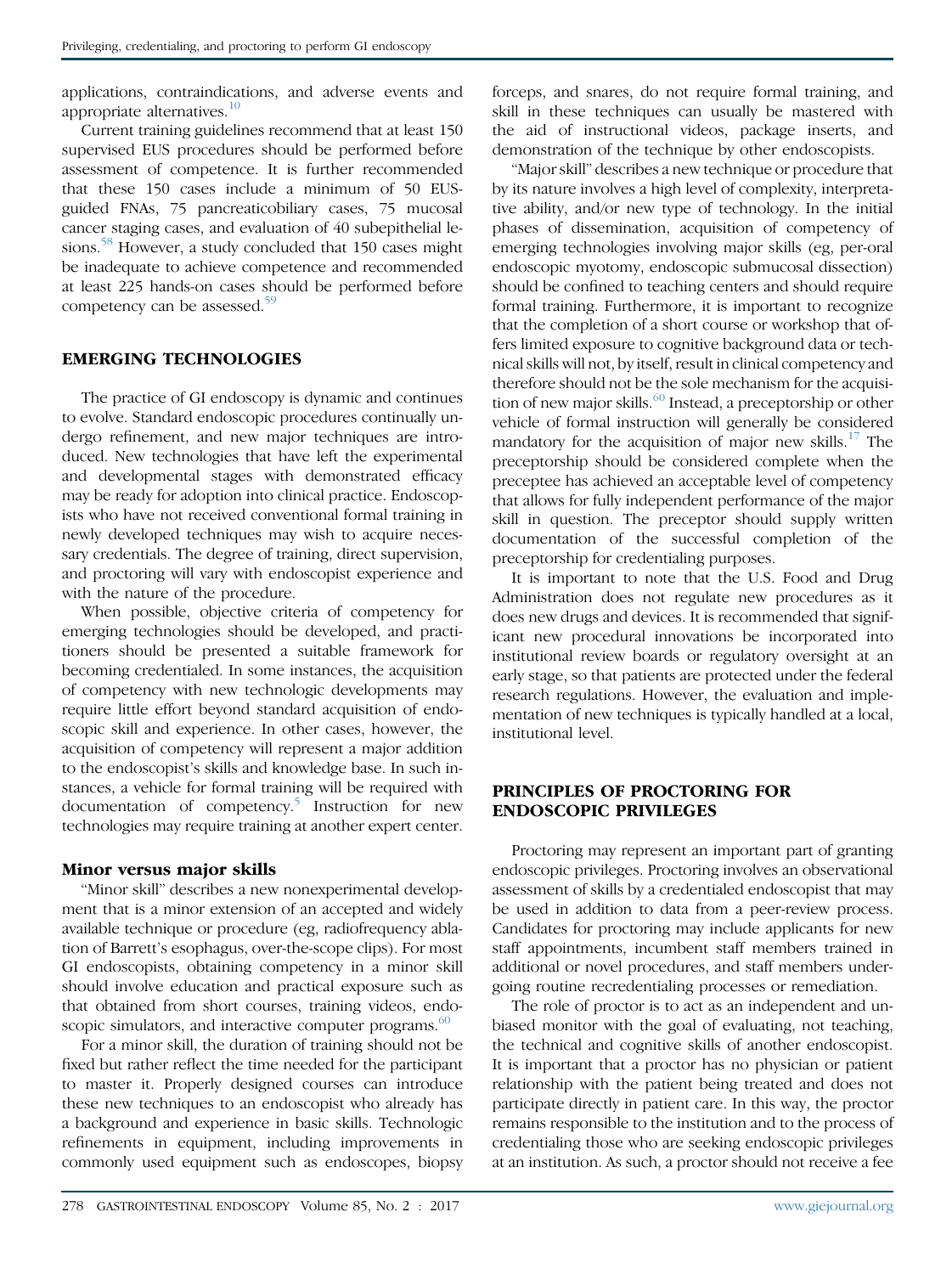applications, contraindications, and adverse events and appropriate alternatives. $10$ 

Current training guidelines recommend that at least 150 supervised EUS procedures should be performed before assessment of competence. It is further recommended that these 150 cases include a minimum of 50 EUSguided FNAs, 75 pancreaticobiliary cases, 75 mucosal cancer staging cases, and evaluation of 40 subepithelial le-sions.<sup>[58](#page-8-0)</sup> However, a study concluded that 150 cases might be inadequate to achieve competence and recommended at least 225 hands-on cases should be performed before competency can be assessed.<sup>[59](#page-8-0)</sup>

# EMERGING TECHNOLOGIES

The practice of GI endoscopy is dynamic and continues to evolve. Standard endoscopic procedures continually undergo refinement, and new major techniques are introduced. New technologies that have left the experimental and developmental stages with demonstrated efficacy may be ready for adoption into clinical practice. Endoscopists who have not received conventional formal training in newly developed techniques may wish to acquire necessary credentials. The degree of training, direct supervision, and proctoring will vary with endoscopist experience and with the nature of the procedure.

When possible, objective criteria of competency for emerging technologies should be developed, and practitioners should be presented a suitable framework for becoming credentialed. In some instances, the acquisition of competency with new technologic developments may require little effort beyond standard acquisition of endoscopic skill and experience. In other cases, however, the acquisition of competency will represent a major addition to the endoscopist's skills and knowledge base. In such instances, a vehicle for formal training will be required with documentation of competency.<sup>[5](#page-7-0)</sup> Instruction for new technologies may require training at another expert center.

# Minor versus major skills

"Minor skill" describes a new nonexperimental development that is a minor extension of an accepted and widely available technique or procedure (eg, radiofrequency ablation of Barrett's esophagus, over-the-scope clips). For most GI endoscopists, obtaining competency in a minor skill should involve education and practical exposure such as that obtained from short courses, training videos, endoscopic simulators, and interactive computer programs. $60$ 

For a minor skill, the duration of training should not be fixed but rather reflect the time needed for the participant to master it. Properly designed courses can introduce these new techniques to an endoscopist who already has a background and experience in basic skills. Technologic refinements in equipment, including improvements in commonly used equipment such as endoscopes, biopsy forceps, and snares, do not require formal training, and skill in these techniques can usually be mastered with the aid of instructional videos, package inserts, and demonstration of the technique by other endoscopists.

"Major skill" describes a new technique or procedure that by its nature involves a high level of complexity, interpretative ability, and/or new type of technology. In the initial phases of dissemination, acquisition of competency of emerging technologies involving major skills (eg, per-oral endoscopic myotomy, endoscopic submucosal dissection) should be confined to teaching centers and should require formal training. Furthermore, it is important to recognize that the completion of a short course or workshop that offers limited exposure to cognitive background data or technical skills will not, by itself, result in clinical competency and therefore should not be the sole mechanism for the acquisition of new major skills. $^{60}$  $^{60}$  $^{60}$  Instead, a preceptorship or other vehicle of formal instruction will generally be considered mandatory for the acquisition of major new skills.<sup>[17](#page-8-0)</sup> The preceptorship should be considered complete when the preceptee has achieved an acceptable level of competency that allows for fully independent performance of the major skill in question. The preceptor should supply written documentation of the successful completion of the preceptorship for credentialing purposes.

It is important to note that the U.S. Food and Drug Administration does not regulate new procedures as it does new drugs and devices. It is recommended that significant new procedural innovations be incorporated into institutional review boards or regulatory oversight at an early stage, so that patients are protected under the federal research regulations. However, the evaluation and implementation of new techniques is typically handled at a local, institutional level.

# PRINCIPLES OF PROCTORING FOR ENDOSCOPIC PRIVILEGES

Proctoring may represent an important part of granting endoscopic privileges. Proctoring involves an observational assessment of skills by a credentialed endoscopist that may be used in addition to data from a peer-review process. Candidates for proctoring may include applicants for new staff appointments, incumbent staff members trained in additional or novel procedures, and staff members undergoing routine recredentialing processes or remediation.

The role of proctor is to act as an independent and unbiased monitor with the goal of evaluating, not teaching, the technical and cognitive skills of another endoscopist. It is important that a proctor has no physician or patient relationship with the patient being treated and does not participate directly in patient care. In this way, the proctor remains responsible to the institution and to the process of credentialing those who are seeking endoscopic privileges at an institution. As such, a proctor should not receive a fee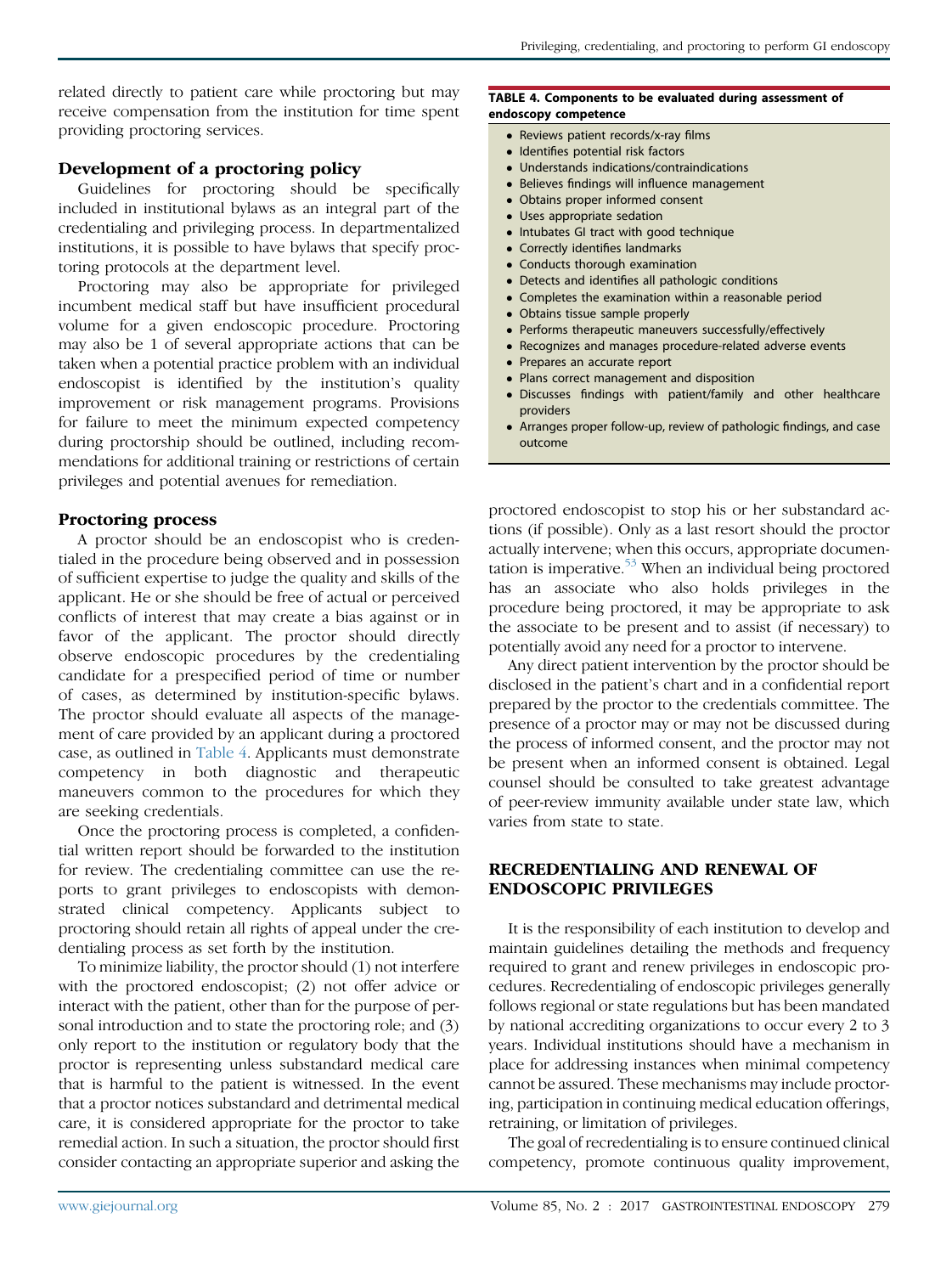related directly to patient care while proctoring but may receive compensation from the institution for time spent providing proctoring services.

# Development of a proctoring policy

Guidelines for proctoring should be specifically included in institutional bylaws as an integral part of the credentialing and privileging process. In departmentalized institutions, it is possible to have bylaws that specify proctoring protocols at the department level.

Proctoring may also be appropriate for privileged incumbent medical staff but have insufficient procedural volume for a given endoscopic procedure. Proctoring may also be 1 of several appropriate actions that can be taken when a potential practice problem with an individual endoscopist is identified by the institution's quality improvement or risk management programs. Provisions for failure to meet the minimum expected competency during proctorship should be outlined, including recommendations for additional training or restrictions of certain privileges and potential avenues for remediation.

#### Proctoring process

A proctor should be an endoscopist who is credentialed in the procedure being observed and in possession of sufficient expertise to judge the quality and skills of the applicant. He or she should be free of actual or perceived conflicts of interest that may create a bias against or in favor of the applicant. The proctor should directly observe endoscopic procedures by the credentialing candidate for a prespecified period of time or number of cases, as determined by institution-specific bylaws. The proctor should evaluate all aspects of the management of care provided by an applicant during a proctored case, as outlined in Table 4. Applicants must demonstrate competency in both diagnostic and therapeutic maneuvers common to the procedures for which they are seeking credentials.

Once the proctoring process is completed, a confidential written report should be forwarded to the institution for review. The credentialing committee can use the reports to grant privileges to endoscopists with demonstrated clinical competency. Applicants subject to proctoring should retain all rights of appeal under the credentialing process as set forth by the institution.

To minimize liability, the proctor should (1) not interfere with the proctored endoscopist; (2) not offer advice or interact with the patient, other than for the purpose of personal introduction and to state the proctoring role; and (3) only report to the institution or regulatory body that the proctor is representing unless substandard medical care that is harmful to the patient is witnessed. In the event that a proctor notices substandard and detrimental medical care, it is considered appropriate for the proctor to take remedial action. In such a situation, the proctor should first consider contacting an appropriate superior and asking the

#### TABLE 4. Components to be evaluated during assessment of endoscopy competence

- Reviews patient records/x-ray films
- Identifies potential risk factors
- Understands indications/contraindications
- Believes findings will influence management
- Obtains proper informed consent
- Uses appropriate sedation
- Intubates GI tract with good technique
- Correctly identifies landmarks
- Conducts thorough examination
- Detects and identifies all pathologic conditions
- Completes the examination within a reasonable period
- Obtains tissue sample properly
- Performs therapeutic maneuvers successfully/effectively
- Recognizes and manages procedure-related adverse events
- Prepares an accurate report
- Plans correct management and disposition
- Discusses findings with patient/family and other healthcare providers
- Arranges proper follow-up, review of pathologic findings, and case outcome

proctored endoscopist to stop his or her substandard actions (if possible). Only as a last resort should the proctor actually intervene; when this occurs, appropriate documentation is imperative. $53$  When an individual being proctored has an associate who also holds privileges in the procedure being proctored, it may be appropriate to ask the associate to be present and to assist (if necessary) to potentially avoid any need for a proctor to intervene.

Any direct patient intervention by the proctor should be disclosed in the patient's chart and in a confidential report prepared by the proctor to the credentials committee. The presence of a proctor may or may not be discussed during the process of informed consent, and the proctor may not be present when an informed consent is obtained. Legal counsel should be consulted to take greatest advantage of peer-review immunity available under state law, which varies from state to state.

# RECREDENTIALING AND RENEWAL OF ENDOSCOPIC PRIVILEGES

It is the responsibility of each institution to develop and maintain guidelines detailing the methods and frequency required to grant and renew privileges in endoscopic procedures. Recredentialing of endoscopic privileges generally follows regional or state regulations but has been mandated by national accrediting organizations to occur every 2 to 3 years. Individual institutions should have a mechanism in place for addressing instances when minimal competency cannot be assured. These mechanisms may include proctoring, participation in continuing medical education offerings, retraining, or limitation of privileges.

The goal of recredentialing is to ensure continued clinical competency, promote continuous quality improvement,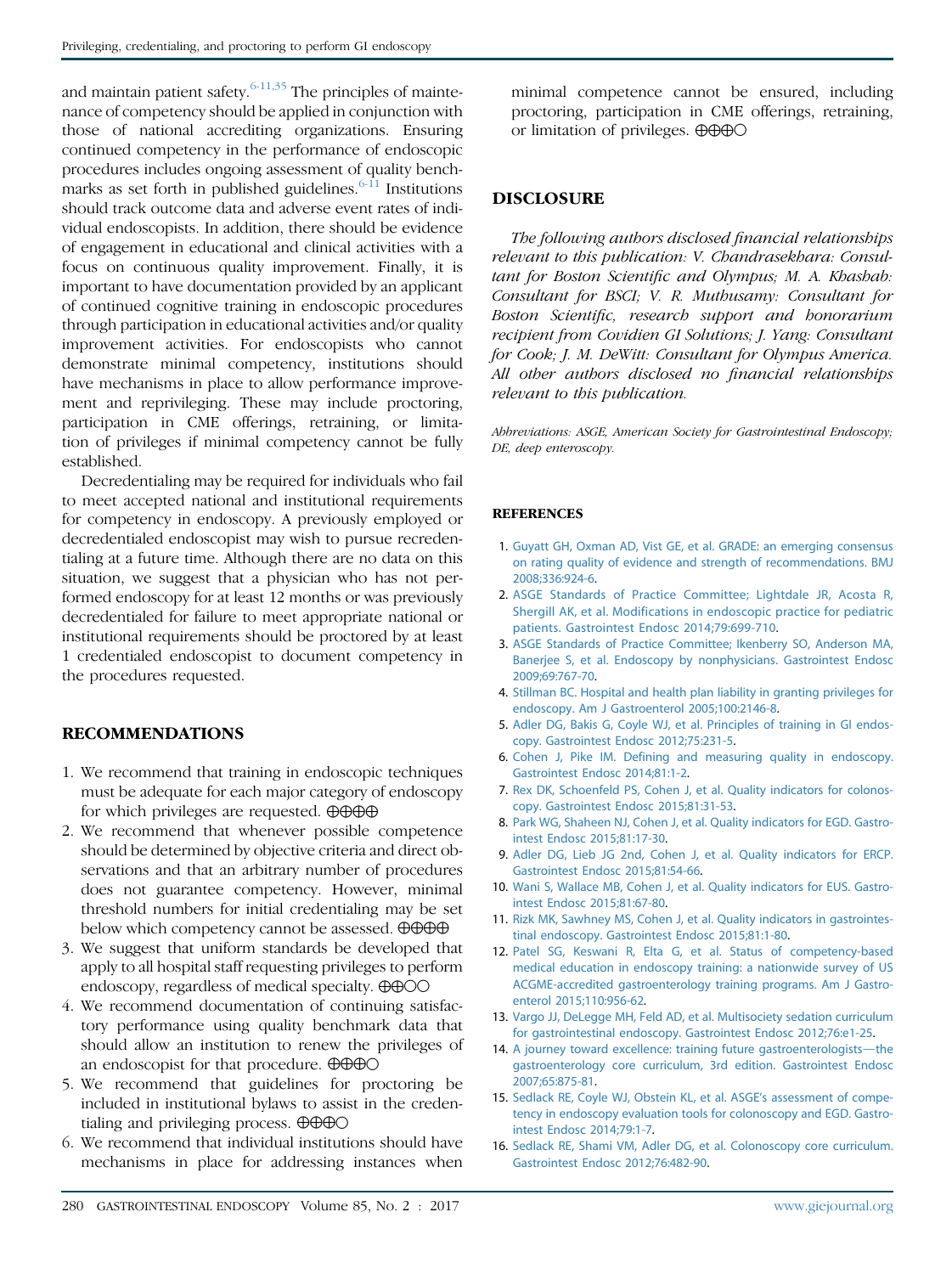<span id="page-7-0"></span>and maintain patient safety.  $6-11,35$  The principles of maintenance of competency should be applied in conjunction with those of national accrediting organizations. Ensuring continued competency in the performance of endoscopic procedures includes ongoing assessment of quality benchmarks as set forth in published guidelines. $6-11$  Institutions should track outcome data and adverse event rates of individual endoscopists. In addition, there should be evidence of engagement in educational and clinical activities with a focus on continuous quality improvement. Finally, it is important to have documentation provided by an applicant of continued cognitive training in endoscopic procedures through participation in educational activities and/or quality improvement activities. For endoscopists who cannot demonstrate minimal competency, institutions should have mechanisms in place to allow performance improvement and reprivileging. These may include proctoring, participation in CME offerings, retraining, or limitation of privileges if minimal competency cannot be fully established.

Decredentialing may be required for individuals who fail to meet accepted national and institutional requirements for competency in endoscopy. A previously employed or decredentialed endoscopist may wish to pursue recredentialing at a future time. Although there are no data on this situation, we suggest that a physician who has not performed endoscopy for at least 12 months or was previously decredentialed for failure to meet appropriate national or institutional requirements should be proctored by at least 1 credentialed endoscopist to document competency in the procedures requested.

# RECOMMENDATIONS

- 1. We recommend that training in endoscopic techniques must be adequate for each major category of endoscopy for which privileges are requested.  $\oplus \oplus \oplus \oplus$
- 2. We recommend that whenever possible competence should be determined by objective criteria and direct observations and that an arbitrary number of procedures does not guarantee competency. However, minimal threshold numbers for initial credentialing may be set below which competency cannot be assessed.  $\Theta \Theta \Theta$
- 3. We suggest that uniform standards be developed that apply to all hospital staff requesting privileges to perform endoscopy, regardless of medical specialty.  $\oplus \oplus \odot \odot$
- 4. We recommend documentation of continuing satisfactory performance using quality benchmark data that should allow an institution to renew the privileges of an endoscopist for that procedure.  $\oplus \oplus \oplus \odot$
- 5. We recommend that guidelines for proctoring be included in institutional bylaws to assist in the credentialing and privileging process.  $\oplus \oplus \oplus \odot$
- 6. We recommend that individual institutions should have mechanisms in place for addressing instances when

minimal competence cannot be ensured, including proctoring, participation in CME offerings, retraining, or limitation of privileges.  $\oplus \oplus \oplus \odot$ 

# DISCLOSURE

The following authors disclosed financial relationships relevant to this publication: V. Chandrasekhara: Consultant for Boston Scientific and Olympus; M. A. Khashab: Consultant for BSCI; V. R. Muthusamy: Consultant for Boston Scientific, research support and honorarium recipient from Covidien GI Solutions; J. Yang: Consultant for Cook; J. M. DeWitt: Consultant for Olympus America. All other authors disclosed no financial relationships relevant to this publication.

Abbreviations: ASGE, American Society for Gastrointestinal Endoscopy; DE, deep enteroscopy.

#### **REFERENCES**

- 1. [Guyatt GH, Oxman AD, Vist GE, et al. GRADE: an emerging consensus](http://refhub.elsevier.com/S0016-5107(16)30723-4/sref1) [on rating quality of evidence and strength of recommendations. BMJ](http://refhub.elsevier.com/S0016-5107(16)30723-4/sref1) [2008;336:924-6](http://refhub.elsevier.com/S0016-5107(16)30723-4/sref1).
- 2. [ASGE Standards of Practice Committee; Lightdale JR, Acosta R,](http://refhub.elsevier.com/S0016-5107(16)30723-4/sref2) [Shergill AK, et al. Modifications in endoscopic practice for pediatric](http://refhub.elsevier.com/S0016-5107(16)30723-4/sref2) [patients. Gastrointest Endosc 2014;79:699-710.](http://refhub.elsevier.com/S0016-5107(16)30723-4/sref2)
- 3. [ASGE Standards of Practice Committee; Ikenberry SO, Anderson MA,](http://refhub.elsevier.com/S0016-5107(16)30723-4/sref3) [Banerjee S, et al. Endoscopy by nonphysicians. Gastrointest Endosc](http://refhub.elsevier.com/S0016-5107(16)30723-4/sref3) [2009;69:767-70](http://refhub.elsevier.com/S0016-5107(16)30723-4/sref3).
- 4. [Stillman BC. Hospital and health plan liability in granting privileges for](http://refhub.elsevier.com/S0016-5107(16)30723-4/sref4) [endoscopy. Am J Gastroenterol 2005;100:2146-8](http://refhub.elsevier.com/S0016-5107(16)30723-4/sref4).
- 5. [Adler DG, Bakis G, Coyle WJ, et al. Principles of training in GI endos](http://refhub.elsevier.com/S0016-5107(16)30723-4/sref5)[copy. Gastrointest Endosc 2012;75:231-5.](http://refhub.elsevier.com/S0016-5107(16)30723-4/sref5)
- 6. [Cohen J, Pike IM. Defining and measuring quality in endoscopy.](http://refhub.elsevier.com/S0016-5107(16)30723-4/sref6) [Gastrointest Endosc 2014;81:1-2](http://refhub.elsevier.com/S0016-5107(16)30723-4/sref6).
- 7. [Rex DK, Schoenfeld PS, Cohen J, et al. Quality indicators for colonos](http://refhub.elsevier.com/S0016-5107(16)30723-4/sref7)[copy. Gastrointest Endosc 2015;81:31-53.](http://refhub.elsevier.com/S0016-5107(16)30723-4/sref7)
- 8. [Park WG, Shaheen NJ, Cohen J, et al. Quality indicators for EGD. Gastro](http://refhub.elsevier.com/S0016-5107(16)30723-4/sref8)[intest Endosc 2015;81:17-30.](http://refhub.elsevier.com/S0016-5107(16)30723-4/sref8)
- 9. [Adler DG, Lieb JG 2nd, Cohen J, et al. Quality indicators for ERCP.](http://refhub.elsevier.com/S0016-5107(16)30723-4/sref9) [Gastrointest Endosc 2015;81:54-66](http://refhub.elsevier.com/S0016-5107(16)30723-4/sref9).
- 10. [Wani S, Wallace MB, Cohen J, et al. Quality indicators for EUS. Gastro](http://refhub.elsevier.com/S0016-5107(16)30723-4/sref10)[intest Endosc 2015;81:67-80.](http://refhub.elsevier.com/S0016-5107(16)30723-4/sref10)
- 11. [Rizk MK, Sawhney MS, Cohen J, et al. Quality indicators in gastrointes](http://refhub.elsevier.com/S0016-5107(16)30723-4/sref11)[tinal endoscopy. Gastrointest Endosc 2015;81:1-80.](http://refhub.elsevier.com/S0016-5107(16)30723-4/sref11)
- 12. [Patel SG, Keswani R, Elta G, et al. Status of competency-based](http://refhub.elsevier.com/S0016-5107(16)30723-4/sref12) [medical education in endoscopy training: a nationwide survey of US](http://refhub.elsevier.com/S0016-5107(16)30723-4/sref12) [ACGME-accredited gastroenterology training programs. Am J Gastro](http://refhub.elsevier.com/S0016-5107(16)30723-4/sref12)[enterol 2015;110:956-62.](http://refhub.elsevier.com/S0016-5107(16)30723-4/sref12)
- 13. [Vargo JJ, DeLegge MH, Feld AD, et al. Multisociety sedation curriculum](http://refhub.elsevier.com/S0016-5107(16)30723-4/sref13) [for gastrointestinal endoscopy. Gastrointest Endosc 2012;76:e1-25](http://refhub.elsevier.com/S0016-5107(16)30723-4/sref13).
- 14. [A journey toward excellence: training future gastroenterologists](http://refhub.elsevier.com/S0016-5107(16)30723-4/sref14)-the [gastroenterology core curriculum, 3rd edition. Gastrointest Endosc](http://refhub.elsevier.com/S0016-5107(16)30723-4/sref14) [2007;65:875-81](http://refhub.elsevier.com/S0016-5107(16)30723-4/sref14).
- 15. [Sedlack RE, Coyle WJ, Obstein KL, et al. ASGE](http://refhub.elsevier.com/S0016-5107(16)30723-4/sref15)'s assessment of compe[tency in endoscopy evaluation tools for colonoscopy and EGD. Gastro](http://refhub.elsevier.com/S0016-5107(16)30723-4/sref15)[intest Endosc 2014;79:1-7.](http://refhub.elsevier.com/S0016-5107(16)30723-4/sref15)
- 16. [Sedlack RE, Shami VM, Adler DG, et al. Colonoscopy core curriculum.](http://refhub.elsevier.com/S0016-5107(16)30723-4/sref16) [Gastrointest Endosc 2012;76:482-90](http://refhub.elsevier.com/S0016-5107(16)30723-4/sref16).